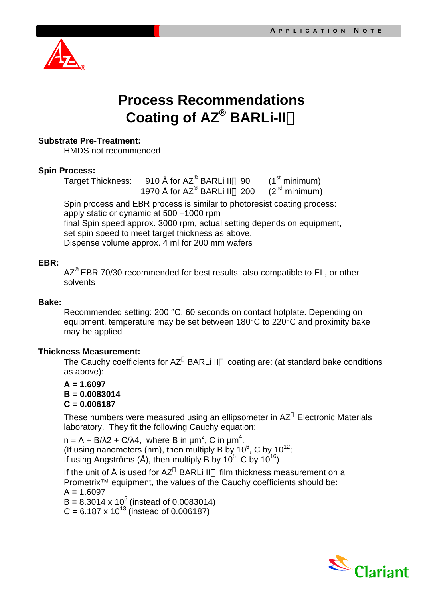

## **Process Recommendations Coating of AZ® BARLi-IIä**

## **Substrate Pre-Treatment:**

HMDS not recommended

### **Spin Process:**

Target Thickness: 910 Å for AZ® BARLi II 90 (1st minimum) 1970 Å for  $AZ^{\circledR}$  BARLi II<sup>TM</sup> 200 ( $Z^{\text{nd}}$  minimum)

Spin process and EBR process is similar to photoresist coating process: apply static or dynamic at 500 –1000 rpm final Spin speed approx. 3000 rpm, actual setting depends on equipment, set spin speed to meet target thickness as above. Dispense volume approx. 4 ml for 200 mm wafers

## **EBR:**

 $AZ^{\circ}$  EBR 70/30 recommended for best results; also compatible to EL, or other solvents

#### **Bake:**

Recommended setting: 200 °C, 60 seconds on contact hotplate. Depending on equipment, temperature may be set between 180°C to 220°C and proximity bake may be applied

#### **Thickness Measurement:**

The Cauchy coefficients for  $AZ^{\circledast}$  BARLi II<sup>M</sup> coating are: (at standard bake conditions as above):

### **A = 1.6097 B = 0.0083014 C = 0.006187**

These numbers were measured using an ellipsometer in  $AZ^{\circledast}$  Electronic Materials laboratory. They fit the following Cauchy equation:

n = A + B/λ2 + C/λ4, where B in μm<sup>2</sup>, C in μm<sup>4</sup>. (If using nanometers (nm), then multiply B by 10 $^6$ , C by 10 $^{12}$ ; If using Angströms (Å), then multiply B by 10<sup>8</sup>, C by 10<sup>16</sup>)

If the unit of  $\AA$  is used for AZ<sup>®</sup> BARLi II<sup>™</sup> film thickness measurement on a Prometrix™ equipment, the values of the Cauchy coefficients should be:  $A = 1.6097$  $B = 8.3014 \times 10^5$  (instead of 0.0083014)  $C = 6.187 \times 10^{13}$  (instead of 0.006187)

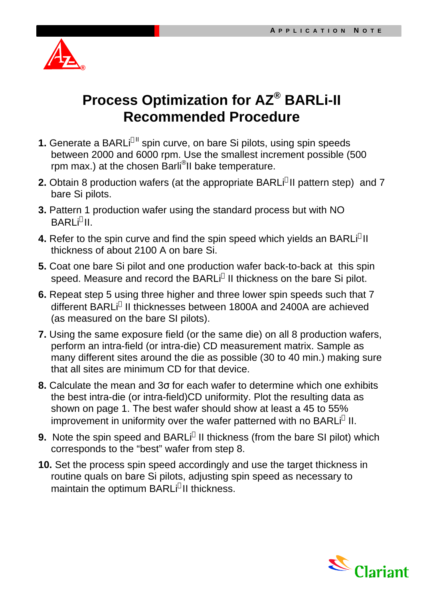

# **Process Optimization for AZ® BARLi-II Recommended Procedure**

- **1.** Generate a BARLi<sup>®ll</sup> spin curve, on bare Si pilots, using spin speeds between 2000 and 6000 rpm. Use the smallest increment possible (500 rpm max.) at the chosen Barli<sup>®</sup>ll bake temperature.
- **2.** Obtain 8 production wafers (at the appropriate BARLi<sup>®</sup>II pattern step) and 7 bare Si pilots.
- **3.** Pattern 1 production wafer using the standard process but with NO BARLi®II.
- **4.** Refer to the spin curve and find the spin speed which yields an BARLi<sup>®</sup>ll thickness of about 2100 A on bare Si.
- **5.** Coat one bare Si pilot and one production wafer back-to-back at this spin speed. Measure and record the BARLi® II thickness on the bare Si pilot.
- **6.** Repeat step 5 using three higher and three lower spin speeds such that 7 different BARLi® II thicknesses between 1800A and 2400A are achieved (as measured on the bare SI pilots).
- **7.** Using the same exposure field (or the same die) on all 8 production wafers, perform an intra-field (or intra-die) CD measurement matrix. Sample as many different sites around the die as possible (30 to 40 min.) making sure that all sites are minimum CD for that device.
- **8.** Calculate the mean and 3σ for each wafer to determine which one exhibits the best intra-die (or intra-field)CD uniformity. Plot the resulting data as shown on page 1. The best wafer should show at least a 45 to 55% improvement in uniformity over the wafer patterned with no BARLi® II.
- **9.** Note the spin speed and BARLi® II thickness (from the bare SI pilot) which corresponds to the "best" wafer from step 8.
- **10.** Set the process spin speed accordingly and use the target thickness in routine quals on bare Si pilots, adjusting spin speed as necessary to maintain the optimum BARLi®II thickness.